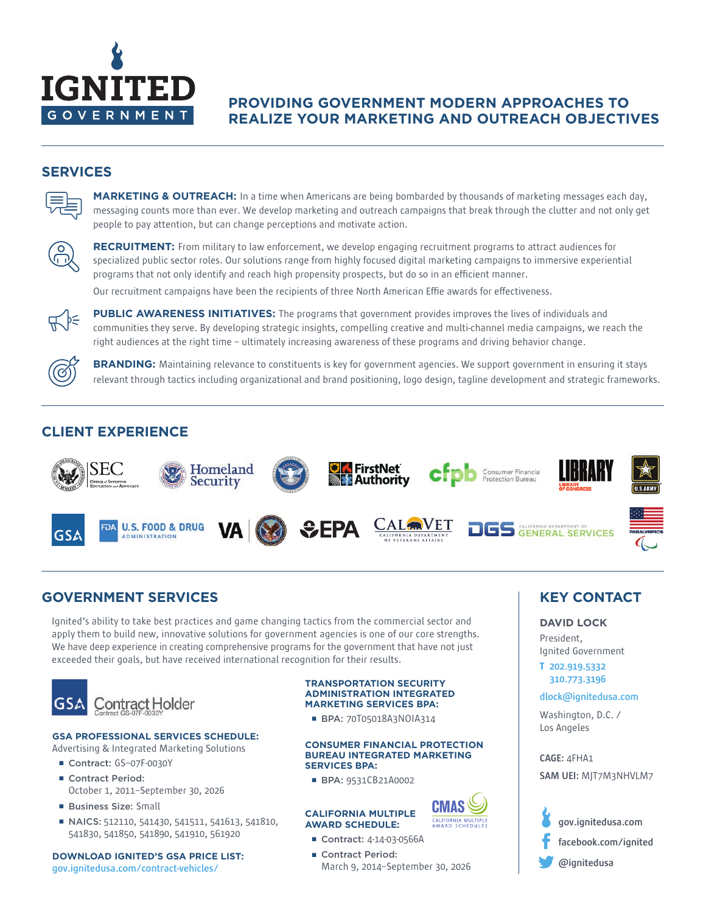

# **PROVIDING GOVERNMENT MODERN APPROACHES TO REALIZE YOUR MARKETING AND OUTREACH OBJECTIVES**

## **SERVICES**



**MARKETING & OUTREACH:** In a time when Americans are being bombarded by thousands of marketing messages each day, messaging counts more than ever. We develop marketing and outreach campaigns that break through the clutter and not only get people to pay attention, but can change perceptions and motivate action.



**RECRUITMENT:** From military to law enforcement, we develop engaging recruitment programs to attract audiences for specialized public sector roles. Our solutions range from highly focused digital marketing campaigns to immersive experiential programs that not only identify and reach high propensity prospects, but do so in an efficient manner. Our recruitment campaigns have been the recipients of three North American Effie awards for effectiveness.



**PUBLIC AWARENESS INITIATIVES:** The programs that government provides improves the lives of individuals and communities they serve. By developing strategic insights, compelling creative and multi-channel media campaigns, we reach the right audiences at the right time – ultimately increasing awareness of these programs and driving behavior change.

**BRANDING:** Maintaining relevance to constituents is key for government agencies. We support government in ensuring it stays relevant through tactics including organizational and brand positioning, logo design, tagline development and strategic frameworks.

# **CLIENT EXPERIENCE**



# **GOVERNMENT SERVICES KEY CONTACT**

Ignited's ability to take best practices and game changing tactics from the commercial sector and apply them to build new, innovative solutions for government agencies is one of our core strengths. We have deep experience in creating comprehensive programs for the government that have not just exceeded their goals, but have received international recognition for their results.



#### **GSA PROFESSIONAL SERVICES SCHEDULE:**

Advertising & Integrated Marketing Solutions

- Contract: GS-07F-0030Y
- Contract Period: October 1, 2011–September 30, 2026
- Business Size: Small
- NAICS: 512110, 541430, 541511, 541613, 541810, 541830, 541850, 541890, 541910, 561920

**DOWNLOAD IGNITED'S GSA PRICE LIST:**  gov.ignitedusa.com/contract-vehicles/

#### **TRANSPORTATION SECURITY ADMINISTRATION INTEGRATED MARKETING SERVICES BPA:**

■ BPA: 70T05018A3NOIA314

#### **CONSUMER FINANCIAL PROTECTION BUREAU INTEGRATED MARKETING SERVICES BPA:**

CALIFORNIA MULTIPLE<br>AWARD SCHEDULES

■ BPA: 9531CB21A0002

#### **CALIFORNIA MULTIPLE AWARD SCHEDULE:**

- Contract: 4-14-03-0566A
- Contract Period: March 9, 2014–September 30, 2026

**DAVID LOCK**

President, Ignited Government

## **T** 202.919.5332 310.773.3196

#### dlock@ignitedusa.com

Washington, D.C. / Los Angeles

#### CAGE: 4FHA1

SAM UEI: MJT7M3NHVLM7